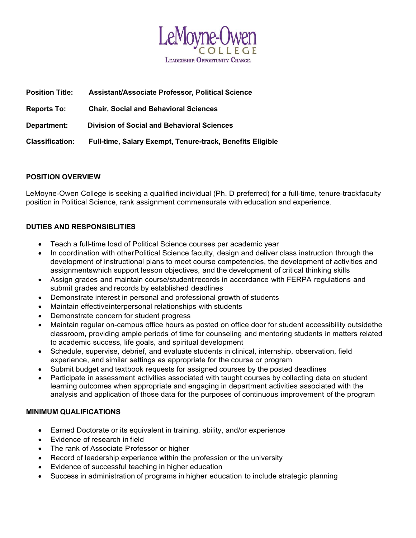

| <b>Position Title:</b> | <b>Assistant/Associate Professor, Political Science</b>   |
|------------------------|-----------------------------------------------------------|
| <b>Reports To:</b>     | <b>Chair, Social and Behavioral Sciences</b>              |
| Department:            | <b>Division of Social and Behavioral Sciences</b>         |
| <b>Classification:</b> | Full-time, Salary Exempt, Tenure-track, Benefits Eligible |

## POSITION OVERVIEW

LeMoyne-Owen College is seeking a qualified individual (Ph. D preferred) for a full-time, tenure-track faculty position in Political Science, rank assignment commensurate with education and experience.

## DUTIES AND RESPONSIBLITIES

- Teach a full-time load of Political Science courses per academic year
- In coordination with other Political Science faculty, design and deliver class instruction through the development of instructional plans to meet course competencies, the development of activities and assignments which support lesson objectives, and the development of critical thinking skills
- Assign grades and maintain course/student records in accordance with FERPA regulations and submit grades and records by established deadlines
- Demonstrate interest in personal and professional growth of students
- Maintain effectiveinterpersonal relationships with students
- Demonstrate concern for student progress
- Maintain regular on-campus office hours as posted on office door for student accessibility outsidethe classroom, providing ample periods of time for counseling and mentoring students in matters related to academic success, life goals, and spiritual development
- Schedule, supervise, debrief, and evaluate students in clinical, internship, observation, field experience, and similar settings as appropriate for the course or program
- Submit budget and textbook requests for assigned courses by the posted deadlines
- Participate in assessment activities associated with taught courses by collecting data on student learning outcomes when appropriate and engaging in department activities associated with the analysis and application of those data for the purposes of continuous improvement of the program

#### MINIMUM QUALIFICATIONS

- Earned Doctorate or its equivalent in training, ability, and/or experience
- Evidence of research in field
- The rank of Associate Professor or higher
- Record of leadership experience within the profession or the university
- Evidence of successful teaching in higher education
- Success in administration of programs in higher education to include strategic planning